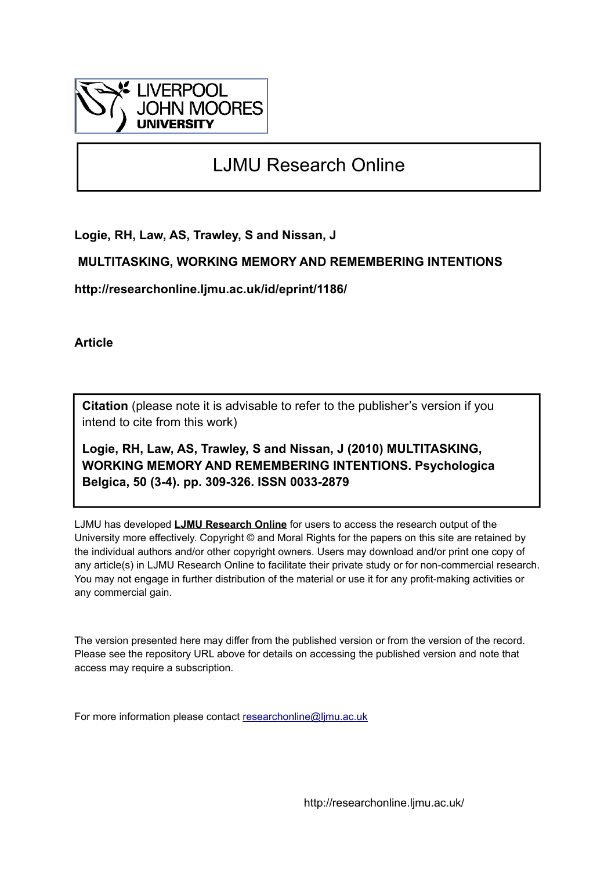

# LJMU Research Online

**Logie, RH, Law, AS, Trawley, S and Nissan, J**

## **MULTITASKING, WORKING MEMORY AND REMEMBERING INTENTIONS**

**http://researchonline.ljmu.ac.uk/id/eprint/1186/**

**Article**

**Citation** (please note it is advisable to refer to the publisher's version if you intend to cite from this work)

**Logie, RH, Law, AS, Trawley, S and Nissan, J (2010) MULTITASKING, WORKING MEMORY AND REMEMBERING INTENTIONS. Psychologica Belgica, 50 (3-4). pp. 309-326. ISSN 0033-2879** 

LJMU has developed **[LJMU Research Online](http://researchonline.ljmu.ac.uk/)** for users to access the research output of the University more effectively. Copyright © and Moral Rights for the papers on this site are retained by the individual authors and/or other copyright owners. Users may download and/or print one copy of any article(s) in LJMU Research Online to facilitate their private study or for non-commercial research. You may not engage in further distribution of the material or use it for any profit-making activities or any commercial gain.

The version presented here may differ from the published version or from the version of the record. Please see the repository URL above for details on accessing the published version and note that access may require a subscription.

For more information please contact [researchonline@ljmu.ac.uk](mailto:researchonline@ljmu.ac.uk)

http://researchonline.ljmu.ac.uk/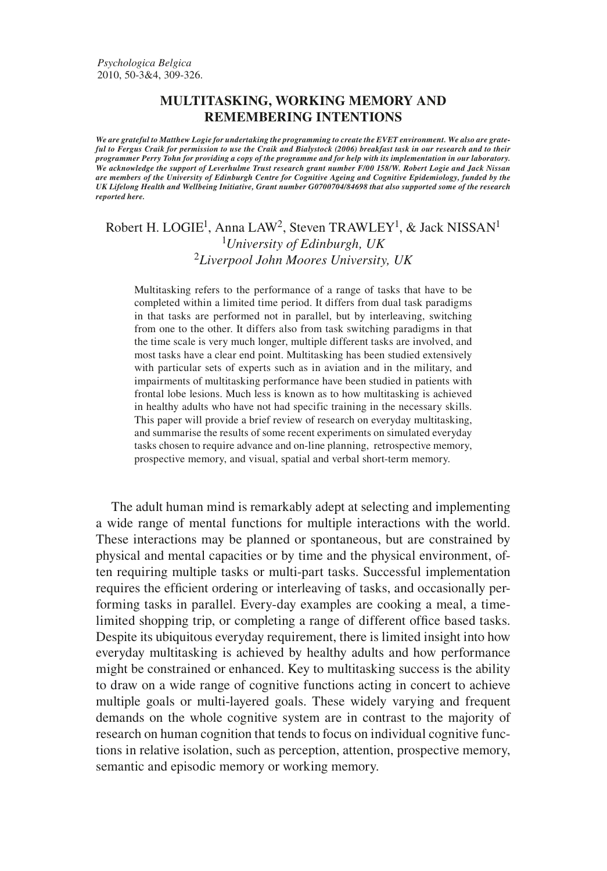### MULTITASKING, WORKING MEMORY AND **REMEMBERING INTENTIONS**

We are grateful to Matthew Logie for undertaking the programming to create the EVET environment. We also are grateful to Fergus Craik for permission to use the Craik and Bialystock (2006) breakfast task in our research and to their programmer Perry Tohn for providing a copy of the programme and for help with its implementation in our laboratory. We acknowledge the support of Leverhulme Trust research grant number F/00 158/W. Robert Logie and Jack Nissan are members of the University of Edinburgh Centre for Cognitive Ageing and Cognitive Epidemiology, funded by the UK Lifelong Health and Wellbeing Initiative, Grant number G0700704/84698 that also supported some of the research reported here.

## Robert H. LOGIE<sup>1</sup>, Anna LAW<sup>2</sup>, Steven TRAWLEY<sup>1</sup>, & Jack NISSAN<sup>1</sup> <sup>1</sup>University of Edinburgh, UK  $2$ Liverpool John Moores University, UK

Multitasking refers to the performance of a range of tasks that have to be completed within a limited time period. It differs from dual task paradigms in that tasks are performed not in parallel, but by interleaving, switching from one to the other. It differs also from task switching paradigms in that the time scale is very much longer, multiple different tasks are involved, and most tasks have a clear end point. Multitasking has been studied extensively with particular sets of experts such as in aviation and in the military, and impairments of multitasking performance have been studied in patients with frontal lobe lesions. Much less is known as to how multitasking is achieved in healthy adults who have not had specific training in the necessary skills. This paper will provide a brief review of research on everyday multitasking, and summarise the results of some recent experiments on simulated everyday tasks chosen to require advance and on-line planning, retrospective memory, prospective memory, and visual, spatial and verbal short-term memory.

The adult human mind is remarkably adept at selecting and implementing a wide range of mental functions for multiple interactions with the world. These interactions may be planned or spontaneous, but are constrained by physical and mental capacities or by time and the physical environment, often requiring multiple tasks or multi-part tasks. Successful implementation requires the efficient ordering or interleaving of tasks, and occasionally performing tasks in parallel. Every-day examples are cooking a meal, a timelimited shopping trip, or completing a range of different office based tasks. Despite its ubiquitous everyday requirement, there is limited insight into how everyday multitasking is achieved by healthy adults and how performance might be constrained or enhanced. Key to multitasking success is the ability to draw on a wide range of cognitive functions acting in concert to achieve multiple goals or multi-layered goals. These widely varying and frequent demands on the whole cognitive system are in contrast to the majority of research on human cognition that tends to focus on individual cognitive functions in relative isolation, such as perception, attention, prospective memory, semantic and episodic memory or working memory.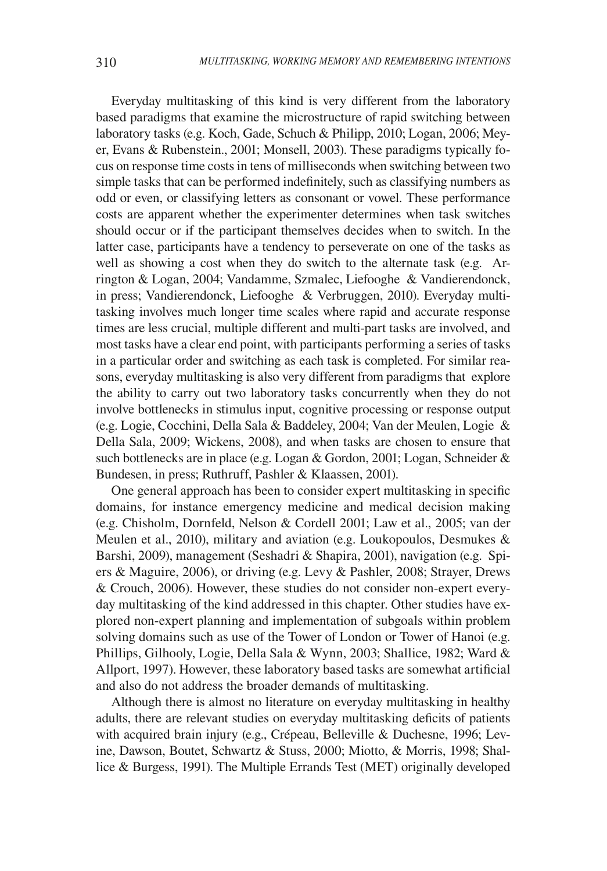Everyday multitasking of this kind is very different from the laboratory based paradigms that examine the microstructure of rapid switching between laboratory tasks (e.g. Koch, Gade, Schuch & Philipp, 2010; Logan, 2006; Meyer, Evans & Rubenstein., 2001; Monsell, 2003). These paradigms typically focus on response time costs in tens of milliseconds when switching between two simple tasks that can be performed indefinitely, such as classifying numbers as odd or even, or classifying letters as consonant or vowel. These performance costs are apparent whether the experimenter determines when task switches should occur or if the participant themselves decides when to switch. In the latter case, participants have a tendency to perseverate on one of the tasks as well as showing a cost when they do switch to the alternate task (e.g. Arrington & Logan, 2004; Vandamme, Szmalec, Liefooghe & Vandierendonck, in press; Vandierendonck, Liefooghe & Verbruggen, 2010). Everyday multitasking involves much longer time scales where rapid and accurate response times are less crucial, multiple different and multi-part tasks are involved, and most tasks have a clear end point, with participants performing a series of tasks in a particular order and switching as each task is completed. For similar reasons, everyday multitasking is also very different from paradigms that explore the ability to carry out two laboratory tasks concurrently when they do not involve bottlenecks in stimulus input, cognitive processing or response output (e.g. Logie, Cocchini, Della Sala & Baddeley, 2004; Van der Meulen, Logie & Della Sala, 2009; Wickens, 2008), and when tasks are chosen to ensure that such bottlenecks are in place (e.g. Logan & Gordon, 2001; Logan, Schneider & Bundesen, in press; Ruthruff, Pashler & Klaassen, 2001).

One general approach has been to consider expert multitasking in specific domains, for instance emergency medicine and medical decision making (e.g. Chisholm, Dornfeld, Nelson & Cordell 2001; Law et al., 2005; van der Meulen et al., 2010), military and aviation (e.g. Loukopoulos, Desmukes  $\&$ Barshi, 2009), management (Seshadri & Shapira, 2001), navigation (e.g. Spiers & Maguire, 2006), or driving (e.g. Levy & Pashler, 2008; Strayer, Drews & Crouch, 2006). However, these studies do not consider non-expert everyday multitasking of the kind addressed in this chapter. Other studies have explored non-expert planning and implementation of subgoals within problem solving domains such as use of the Tower of London or Tower of Hanoi (e.g. Phillips, Gilhooly, Logie, Della Sala & Wynn, 2003; Shallice, 1982; Ward & Allport, 1997). However, these laboratory based tasks are somewhat artificial and also do not address the broader demands of multitasking.

Although there is almost no literature on everyday multitasking in healthy adults, there are relevant studies on everyday multitasking deficits of patients with acquired brain injury (e.g., Crépeau, Belleville & Duchesne, 1996; Levine, Dawson, Boutet, Schwartz & Stuss, 2000; Miotto, & Morris, 1998; Shallice & Burgess, 1991). The Multiple Errands Test (MET) originally developed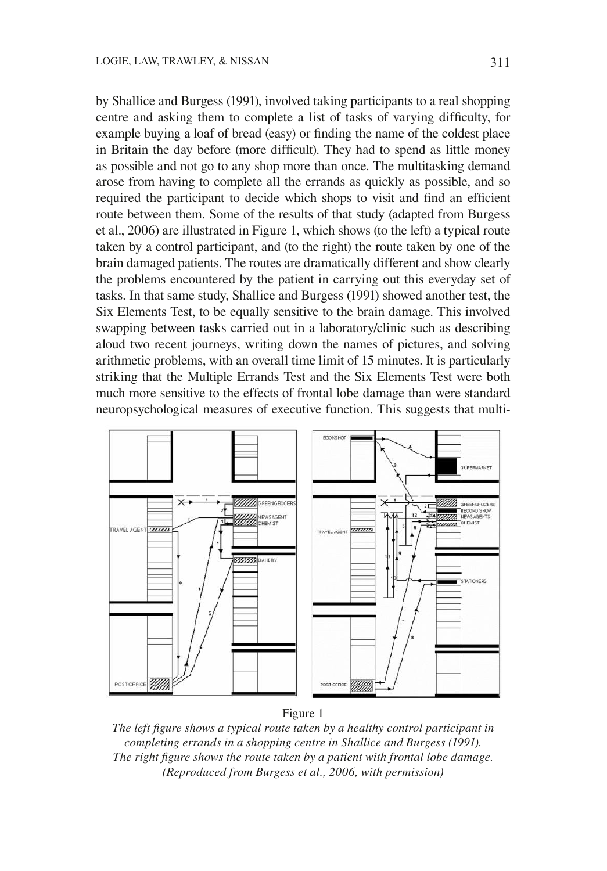by Shallice and Burgess (1991), involved taking participants to a real shopping centre and asking them to complete a list of tasks of varying difficulty, for example buying a loaf of bread (easy) or finding the name of the coldest place in Britain the day before (more difficult). They had to spend as little money as possible and not go to any shop more than once. The multitasking demand arose from having to complete all the errands as quickly as possible, and so required the participant to decide which shops to visit and find an efficient route between them. Some of the results of that study (adapted from Burgess et al., 2006) are illustrated in Figure 1, which shows (to the left) a typical route taken by a control participant, and (to the right) the route taken by one of the brain damaged patients. The routes are dramatically different and show clearly the problems encountered by the patient in carrying out this everyday set of tasks. In that same study, Shallice and Burgess (1991) showed another test, the Six Elements Test, to be equally sensitive to the brain damage. This involved swapping between tasks carried out in a laboratory/clinic such as describing aloud two recent journeys, writing down the names of pictures, and solving arithmetic problems, with an overall time limit of 15 minutes. It is particularly striking that the Multiple Errands Test and the Six Elements Test were both much more sensitive to the effects of frontal lobe damage than were standard neuropsychological measures of executive function. This suggests that multi-



Figure 1

The left figure shows a typical route taken by a healthy control participant in completing errands in a shopping centre in Shallice and Burgess (1991). The right figure shows the route taken by a patient with frontal lobe damage. (Reproduced from Burgess et al., 2006, with permission)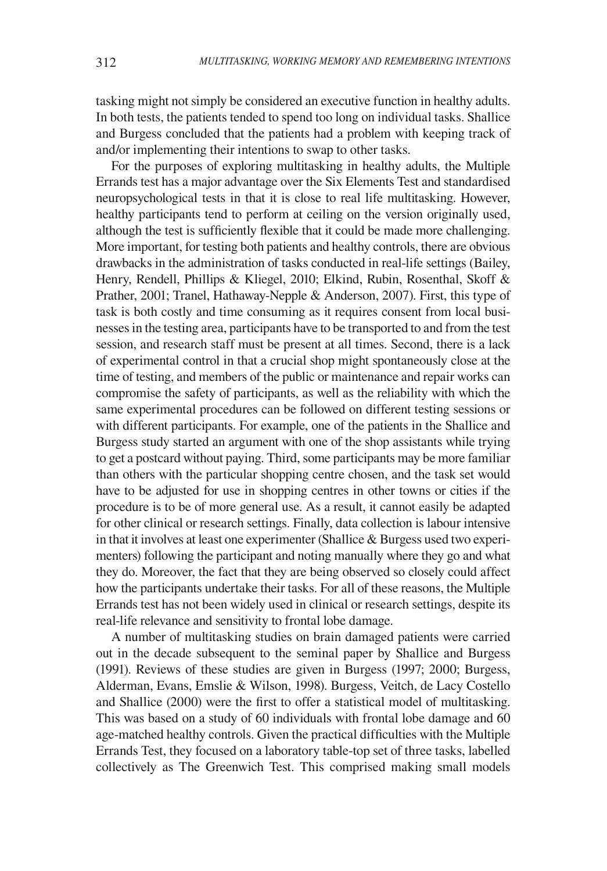tasking might not simply be considered an executive function in healthy adults. In both tests, the patients tended to spend too long on individual tasks. Shallice and Burgess concluded that the patients had a problem with keeping track of and/or implementing their intentions to swap to other tasks.

For the purposes of exploring multitasking in healthy adults, the Multiple Errands test has a major advantage over the Six Elements Test and standardised neuropsychological tests in that it is close to real life multitasking. However, healthy participants tend to perform at ceiling on the version originally used, although the test is sufficiently flexible that it could be made more challenging. More important, for testing both patients and healthy controls, there are obvious drawbacks in the administration of tasks conducted in real-life settings (Bailey, Henry, Rendell, Phillips & Kliegel, 2010; Elkind, Rubin, Rosenthal, Skoff & Prather, 2001; Tranel, Hathaway-Nepple & Anderson, 2007). First, this type of task is both costly and time consuming as it requires consent from local businesses in the testing area, participants have to be transported to and from the test session, and research staff must be present at all times. Second, there is a lack of experimental control in that a crucial shop might spontaneously close at the time of testing, and members of the public or maintenance and repair works can compromise the safety of participants, as well as the reliability with which the same experimental procedures can be followed on different testing sessions or with different participants. For example, one of the patients in the Shallice and Burgess study started an argument with one of the shop assistants while trying to get a postcard without paying. Third, some participants may be more familiar than others with the particular shopping centre chosen, and the task set would have to be adjusted for use in shopping centres in other towns or cities if the procedure is to be of more general use. As a result, it cannot easily be adapted for other clinical or research settings. Finally, data collection is labour intensive in that it involves at least one experimenter (Shallice  $\&$  Burgess used two experimenters) following the participant and noting manually where they go and what they do. Moreover, the fact that they are being observed so closely could affect how the participants undertake their tasks. For all of these reasons, the Multiple Errands test has not been widely used in clinical or research settings, despite its real-life relevance and sensitivity to frontal lobe damage.

A number of multitasking studies on brain damaged patients were carried out in the decade subsequent to the seminal paper by Shallice and Burgess (1991). Reviews of these studies are given in Burgess (1997; 2000; Burgess, Alderman, Evans, Emslie & Wilson, 1998). Burgess, Veitch, de Lacy Costello and Shallice (2000) were the first to offer a statistical model of multitasking. This was based on a study of 60 individuals with frontal lobe damage and 60 age-matched healthy controls. Given the practical difficulties with the Multiple Errands Test, they focused on a laboratory table-top set of three tasks, labelled collectively as The Greenwich Test. This comprised making small models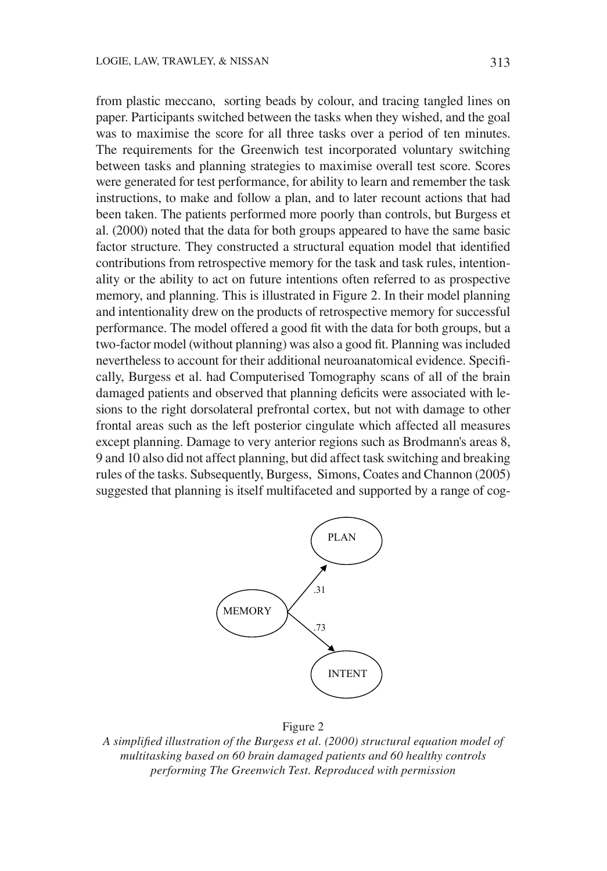from plastic meccano, sorting beads by colour, and tracing tangled lines on paper. Participants switched between the tasks when they wished, and the goal was to maximise the score for all three tasks over a period of ten minutes. The requirements for the Greenwich test incorporated voluntary switching between tasks and planning strategies to maximise overall test score. Scores were generated for test performance, for ability to learn and remember the task instructions, to make and follow a plan, and to later recount actions that had been taken. The patients performed more poorly than controls, but Burgess et al. (2000) noted that the data for both groups appeared to have the same basic factor structure. They constructed a structural equation model that identified contributions from retrospective memory for the task and task rules, intentionality or the ability to act on future intentions often referred to as prospective memory, and planning. This is illustrated in Figure 2. In their model planning and intentionality drew on the products of retrospective memory for successful performance. The model offered a good fit with the data for both groups, but a two-factor model (without planning) was also a good fit. Planning was included nevertheless to account for their additional neuroanatomical evidence. Specifically, Burgess et al. had Computerised Tomography scans of all of the brain damaged patients and observed that planning deficits were associated with lesions to the right dorsolateral prefrontal cortex, but not with damage to other frontal areas such as the left posterior cingulate which affected all measures except planning. Damage to very anterior regions such as Brodmann's areas 8, 9 and 10 also did not affect planning, but did affect task switching and breaking rules of the tasks. Subsequently, Burgess, Simons, Coates and Channon (2005) suggested that planning is itself multifaceted and supported by a range of cog-



#### Figure 2

A simplified illustration of the Burgess et al. (2000) structural equation model of multitasking based on 60 brain damaged patients and 60 healthy controls performing The Greenwich Test. Reproduced with permission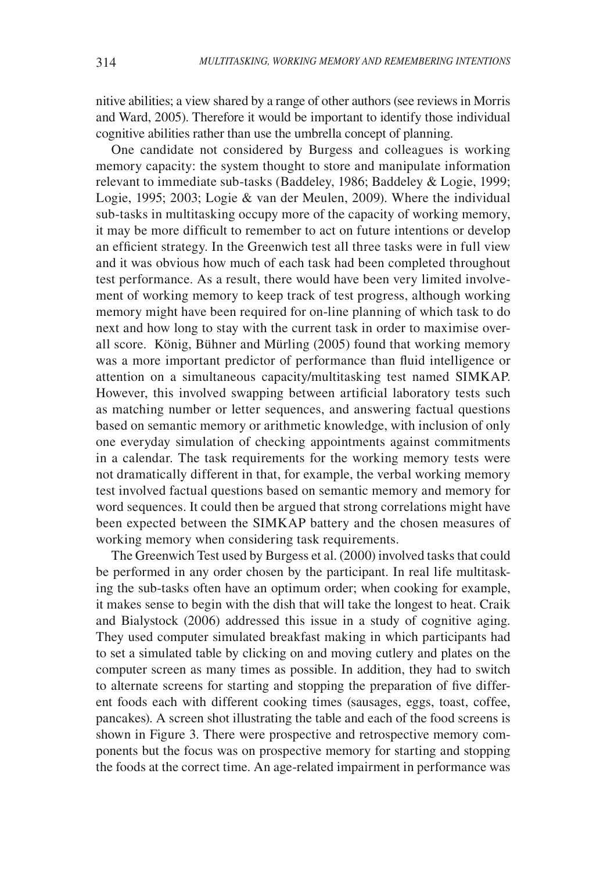nitive abilities; a view shared by a range of other authors (see reviews in Morris and Ward, 2005). Therefore it would be important to identify those individual cognitive abilities rather than use the umbrella concept of planning.

One candidate not considered by Burgess and colleagues is working memory capacity: the system thought to store and manipulate information relevant to immediate sub-tasks (Baddeley, 1986; Baddeley & Logie, 1999; Logie, 1995; 2003; Logie & van der Meulen, 2009). Where the individual sub-tasks in multitasking occupy more of the capacity of working memory, it may be more difficult to remember to act on future intentions or develop an efficient strategy. In the Greenwich test all three tasks were in full view and it was obvious how much of each task had been completed throughout test performance. As a result, there would have been very limited involvement of working memory to keep track of test progress, although working memory might have been required for on-line planning of which task to do next and how long to stay with the current task in order to maximise overall score. König, Bühner and Mürling (2005) found that working memory was a more important predictor of performance than fluid intelligence or attention on a simultaneous capacity/multitasking test named SIMKAP. However, this involved swapping between artificial laboratory tests such as matching number or letter sequences, and answering factual questions based on semantic memory or arithmetic knowledge, with inclusion of only one everyday simulation of checking appointments against commitments in a calendar. The task requirements for the working memory tests were not dramatically different in that, for example, the verbal working memory test involved factual questions based on semantic memory and memory for word sequences. It could then be argued that strong correlations might have been expected between the SIMKAP battery and the chosen measures of working memory when considering task requirements.

The Greenwich Test used by Burgess et al. (2000) involved tasks that could be performed in any order chosen by the participant. In real life multitasking the sub-tasks often have an optimum order; when cooking for example, it makes sense to begin with the dish that will take the longest to heat. Craik and Bialystock (2006) addressed this issue in a study of cognitive aging. They used computer simulated breakfast making in which participants had to set a simulated table by clicking on and moving cutlery and plates on the computer screen as many times as possible. In addition, they had to switch to alternate screens for starting and stopping the preparation of five different foods each with different cooking times (sausages, eggs, toast, coffee, pancakes). A screen shot illustrating the table and each of the food screens is shown in Figure 3. There were prospective and retrospective memory components but the focus was on prospective memory for starting and stopping the foods at the correct time. An age-related impairment in performance was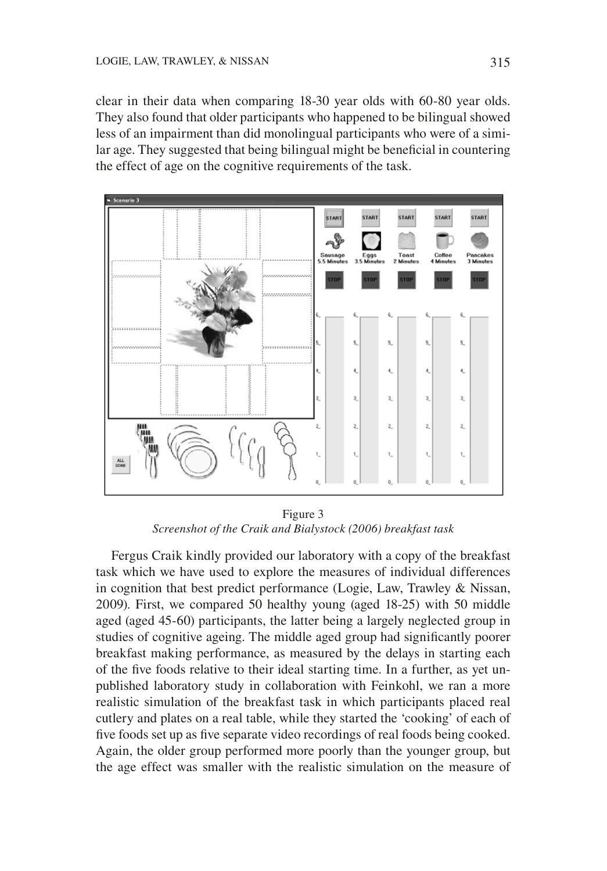clear in their data when comparing 18-30 year olds with 60-80 year olds. They also found that older participants who happened to be bilingual showed less of an impairment than did monolingual participants who were of a similar age. They suggested that being bilingual might be beneficial in countering the effect of age on the cognitive requirements of the task.



Figure 3 Screenshot of the Craik and Bialystock (2006) breakfast task

Fergus Craik kindly provided our laboratory with a copy of the breakfast task which we have used to explore the measures of individual differences in cognition that best predict performance (Logie, Law, Trawley & Nissan, 2009). First, we compared 50 healthy young (aged 18-25) with 50 middle aged (aged 45-60) participants, the latter being a largely neglected group in studies of cognitive ageing. The middle aged group had significantly poorer breakfast making performance, as measured by the delays in starting each of the five foods relative to their ideal starting time. In a further, as yet unpublished laboratory study in collaboration with Feinkohl, we ran a more realistic simulation of the breakfast task in which participants placed real cutlery and plates on a real table, while they started the 'cooking' of each of five foods set up as five separate video recordings of real foods being cooked. Again, the older group performed more poorly than the younger group, but the age effect was smaller with the realistic simulation on the measure of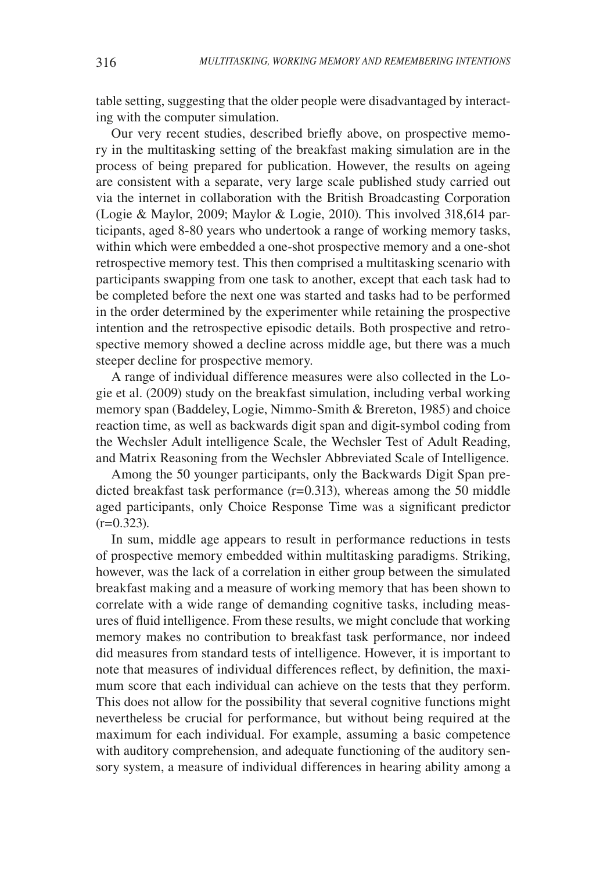table setting, suggesting that the older people were disadvantaged by interacting with the computer simulation.

Our very recent studies, described briefly above, on prospective memory in the multitasking setting of the breakfast making simulation are in the process of being prepared for publication. However, the results on ageing are consistent with a separate, very large scale published study carried out via the internet in collaboration with the British Broadcasting Corporation (Logie & Maylor, 2009; Maylor & Logie, 2010). This involved 318,614 participants, aged 8-80 years who undertook a range of working memory tasks, within which were embedded a one-shot prospective memory and a one-shot retrospective memory test. This then comprised a multitasking scenario with participants swapping from one task to another, except that each task had to be completed before the next one was started and tasks had to be performed in the order determined by the experimenter while retaining the prospective intention and the retrospective episodic details. Both prospective and retrospective memory showed a decline across middle age, but there was a much steeper decline for prospective memory.

A range of individual difference measures were also collected in the Logie et al. (2009) study on the breakfast simulation, including verbal working memory span (Baddeley, Logie, Nimmo-Smith & Brereton, 1985) and choice reaction time, as well as backwards digit span and digit-symbol coding from the Wechsler Adult intelligence Scale, the Wechsler Test of Adult Reading, and Matrix Reasoning from the Wechsler Abbreviated Scale of Intelligence.

Among the 50 younger participants, only the Backwards Digit Span predicted breakfast task performance  $(r=0.313)$ , whereas among the 50 middle aged participants, only Choice Response Time was a significant predictor  $(r=0.323)$ .

In sum, middle age appears to result in performance reductions in tests of prospective memory embedded within multitasking paradigms. Striking, however, was the lack of a correlation in either group between the simulated breakfast making and a measure of working memory that has been shown to correlate with a wide range of demanding cognitive tasks, including measures of fluid intelligence. From these results, we might conclude that working memory makes no contribution to breakfast task performance, nor indeed did measures from standard tests of intelligence. However, it is important to note that measures of individual differences reflect, by definition, the maximum score that each individual can achieve on the tests that they perform. This does not allow for the possibility that several cognitive functions might nevertheless be crucial for performance, but without being required at the maximum for each individual. For example, assuming a basic competence with auditory comprehension, and adequate functioning of the auditory sensory system, a measure of individual differences in hearing ability among a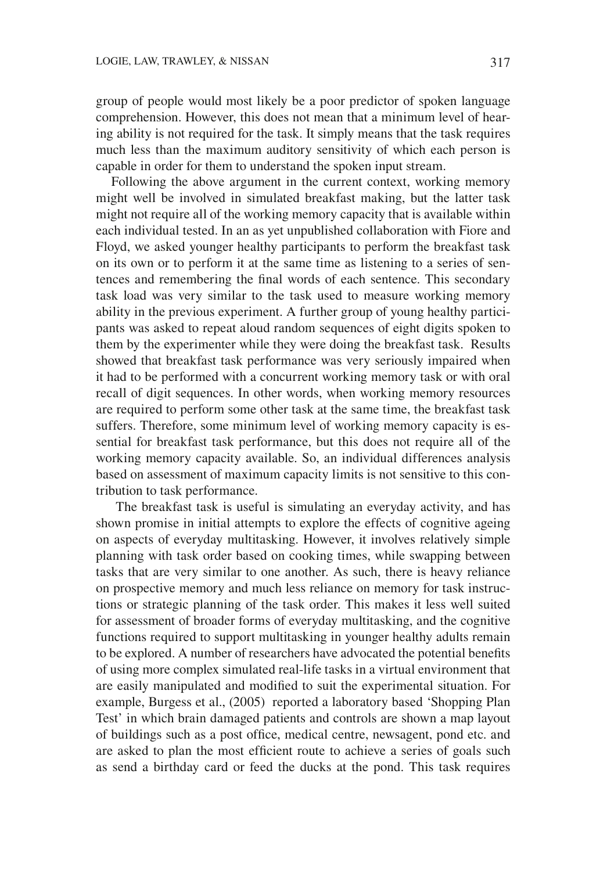group of people would most likely be a poor predictor of spoken language comprehension. However, this does not mean that a minimum level of hearing ability is not required for the task. It simply means that the task requires much less than the maximum auditory sensitivity of which each person is capable in order for them to understand the spoken input stream.

Following the above argument in the current context, working memory might well be involved in simulated breakfast making, but the latter task might not require all of the working memory capacity that is available within each individual tested. In an as yet unpublished collaboration with Fiore and Floyd, we asked younger healthy participants to perform the breakfast task on its own or to perform it at the same time as listening to a series of sentences and remembering the final words of each sentence. This secondary task load was very similar to the task used to measure working memory ability in the previous experiment. A further group of young healthy participants was asked to repeat aloud random sequences of eight digits spoken to them by the experimenter while they were doing the breakfast task. Results showed that breakfast task performance was very seriously impaired when it had to be performed with a concurrent working memory task or with oral recall of digit sequences. In other words, when working memory resources are required to perform some other task at the same time, the breakfast task suffers. Therefore, some minimum level of working memory capacity is essential for breakfast task performance, but this does not require all of the working memory capacity available. So, an individual differences analysis based on assessment of maximum capacity limits is not sensitive to this contribution to task performance.

The breakfast task is useful is simulating an everyday activity, and has shown promise in initial attempts to explore the effects of cognitive ageing on aspects of everyday multitasking. However, it involves relatively simple planning with task order based on cooking times, while swapping between tasks that are very similar to one another. As such, there is heavy reliance on prospective memory and much less reliance on memory for task instructions or strategic planning of the task order. This makes it less well suited for assessment of broader forms of everyday multitasking, and the cognitive functions required to support multitasking in younger healthy adults remain to be explored. A number of researchers have advocated the potential benefits of using more complex simulated real-life tasks in a virtual environment that are easily manipulated and modified to suit the experimental situation. For example, Burgess et al., (2005) reported a laboratory based 'Shopping Plan Test' in which brain damaged patients and controls are shown a map layout of buildings such as a post office, medical centre, newsagent, pond etc. and are asked to plan the most efficient route to achieve a series of goals such as send a birthday card or feed the ducks at the pond. This task requires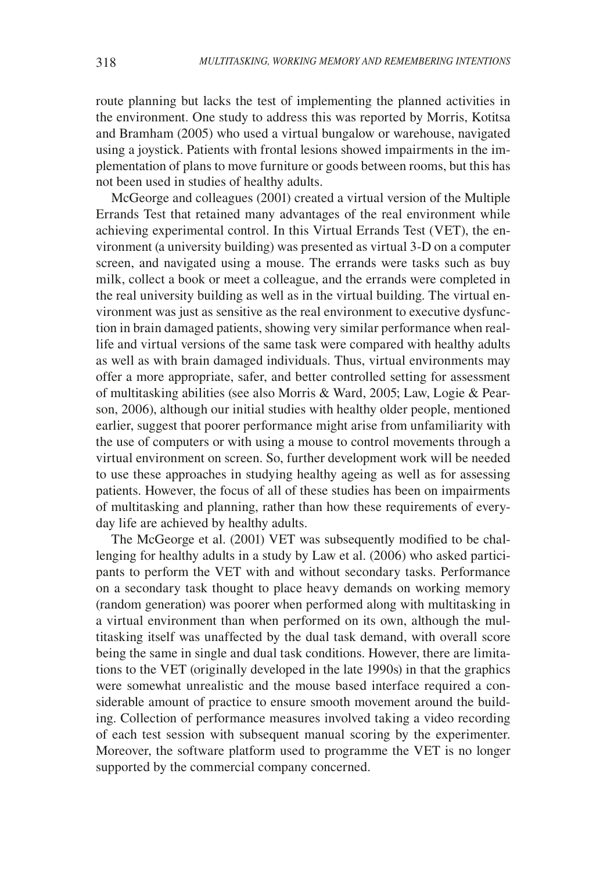route planning but lacks the test of implementing the planned activities in the environment. One study to address this was reported by Morris, Kotitsa and Bramham (2005) who used a virtual bungalow or warehouse, navigated using a joystick. Patients with frontal lesions showed impairments in the implementation of plans to move furniture or goods between rooms, but this has not been used in studies of healthy adults.

McGeorge and colleagues (2001) created a virtual version of the Multiple Errands Test that retained many advantages of the real environment while achieving experimental control. In this Virtual Errands Test (VET), the environment (a university building) was presented as virtual 3-D on a computer screen, and navigated using a mouse. The errands were tasks such as buy milk, collect a book or meet a colleague, and the errands were completed in the real university building as well as in the virtual building. The virtual environment was just as sensitive as the real environment to executive dysfunction in brain damaged patients, showing very similar performance when reallife and virtual versions of the same task were compared with healthy adults as well as with brain damaged individuals. Thus, virtual environments may offer a more appropriate, safer, and better controlled setting for assessment of multitasking abilities (see also Morris & Ward, 2005; Law, Logie & Pearson, 2006), although our initial studies with healthy older people, mentioned earlier, suggest that poorer performance might arise from unfamiliarity with the use of computers or with using a mouse to control movements through a virtual environment on screen. So, further development work will be needed to use these approaches in studying healthy ageing as well as for assessing patients. However, the focus of all of these studies has been on impairments of multitasking and planning, rather than how these requirements of everyday life are achieved by healthy adults.

The McGeorge et al. (2001) VET was subsequently modified to be challenging for healthy adults in a study by Law et al. (2006) who asked participants to perform the VET with and without secondary tasks. Performance on a secondary task thought to place heavy demands on working memory (random generation) was poorer when performed along with multitasking in a virtual environment than when performed on its own, although the multitasking itself was unaffected by the dual task demand, with overall score being the same in single and dual task conditions. However, there are limitations to the VET (originally developed in the late 1990s) in that the graphics were somewhat unrealistic and the mouse based interface required a considerable amount of practice to ensure smooth movement around the building. Collection of performance measures involved taking a video recording of each test session with subsequent manual scoring by the experimenter. Moreover, the software platform used to programme the VET is no longer supported by the commercial company concerned.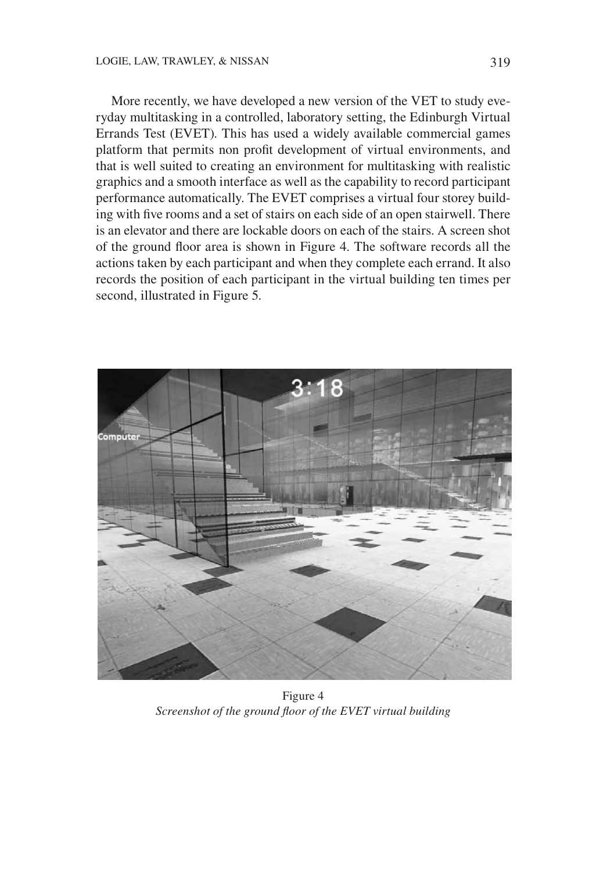More recently, we have developed a new version of the VET to study everyday multitasking in a controlled, laboratory setting, the Edinburgh Virtual Errands Test (EVET). This has used a widely available commercial games platform that permits non profit development of virtual environments, and that is well suited to creating an environment for multitasking with realistic graphics and a smooth interface as well as the capability to record participant performance automatically. The EVET comprises a virtual four storey building with five rooms and a set of stairs on each side of an open stairwell. There is an elevator and there are lockable doors on each of the stairs. A screen shot of the ground floor area is shown in Figure 4. The software records all the actions taken by each participant and when they complete each errand. It also records the position of each participant in the virtual building ten times per second, illustrated in Figure 5.



Figure 4 Screenshot of the ground floor of the EVET virtual building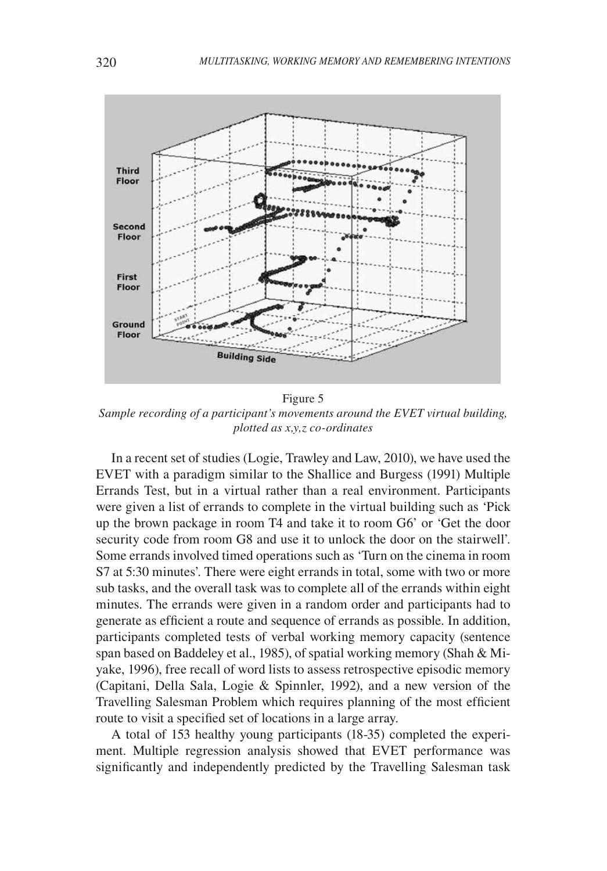

Sample recording of a participant's movements around the EVET virtual building, plotted as x,y,z co-ordinates

In a recent set of studies (Logie, Trawley and Law, 2010), we have used the EVET with a paradigm similar to the Shallice and Burgess (1991) Multiple Errands Test, but in a virtual rather than a real environment. Participants were given a list of errands to complete in the virtual building such as 'Pick up the brown package in room T4 and take it to room G6' or 'Get the door security code from room G8 and use it to unlock the door on the stairwell'. Some errands involved timed operations such as 'Turn on the cinema in room S7 at 5:30 minutes'. There were eight errands in total, some with two or more sub tasks, and the overall task was to complete all of the errands within eight minutes. The errands were given in a random order and participants had to generate as efficient a route and sequence of errands as possible. In addition, participants completed tests of verbal working memory capacity (sentence span based on Baddeley et al., 1985), of spatial working memory (Shah & Miyake, 1996), free recall of word lists to assess retrospective episodic memory (Capitani, Della Sala, Logie & Spinnler, 1992), and a new version of the Travelling Salesman Problem which requires planning of the most efficient route to visit a specified set of locations in a large array.

A total of 153 healthy young participants (18-35) completed the experiment. Multiple regression analysis showed that EVET performance was significantly and independently predicted by the Travelling Salesman task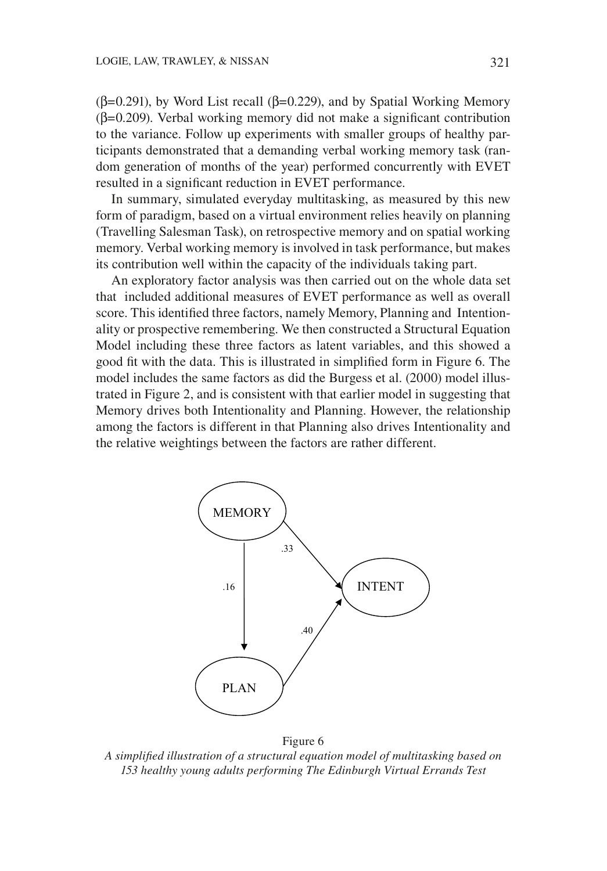$(\beta=0.291)$ , by Word List recall ( $\beta=0.229$ ), and by Spatial Working Memory  $(\beta=0.209)$ . Verbal working memory did not make a significant contribution to the variance. Follow up experiments with smaller groups of healthy participants demonstrated that a demanding verbal working memory task (random generation of months of the year) performed concurrently with EVET resulted in a significant reduction in EVET performance.

In summary, simulated everyday multitasking, as measured by this new form of paradigm, based on a virtual environment relies heavily on planning (Travelling Salesman Task), on retrospective memory and on spatial working memory. Verbal working memory is involved in task performance, but makes its contribution well within the capacity of the individuals taking part.

An exploratory factor analysis was then carried out on the whole data set that included additional measures of EVET performance as well as overall score. This identified three factors, namely Memory, Planning and Intentionality or prospective remembering. We then constructed a Structural Equation Model including these three factors as latent variables, and this showed a good fit with the data. This is illustrated in simplified form in Figure 6. The model includes the same factors as did the Burgess et al. (2000) model illustrated in Figure 2, and is consistent with that earlier model in suggesting that Memory drives both Intentionality and Planning. However, the relationship among the factors is different in that Planning also drives Intentionality and the relative weightings between the factors are rather different.



Figure 6

A simplified illustration of a structural equation model of multitasking based on 153 healthy young adults performing The Edinburgh Virtual Errands Test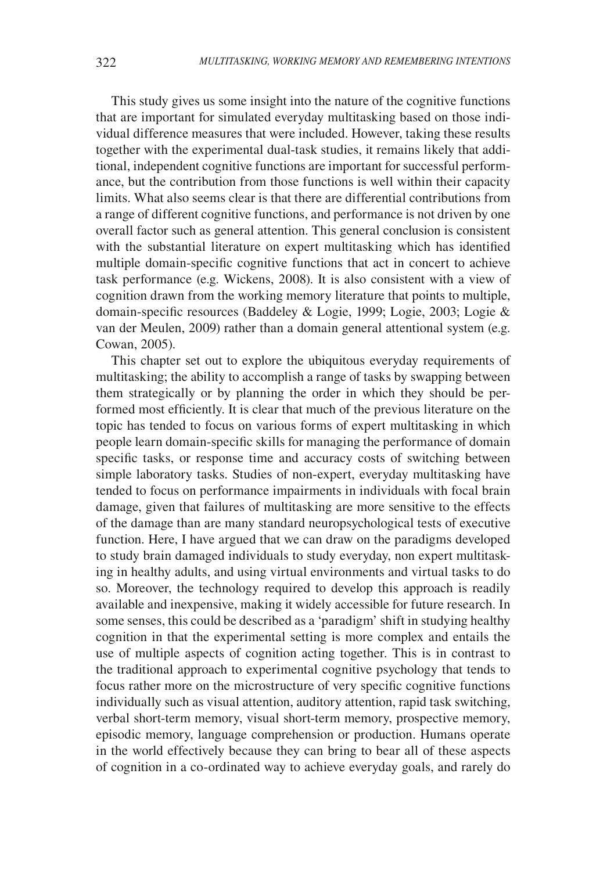This study gives us some insight into the nature of the cognitive functions that are important for simulated everyday multitasking based on those individual difference measures that were included. However, taking these results together with the experimental dual-task studies, it remains likely that additional, independent cognitive functions are important for successful performance, but the contribution from those functions is well within their capacity limits. What also seems clear is that there are differential contributions from a range of different cognitive functions, and performance is not driven by one overall factor such as general attention. This general conclusion is consistent with the substantial literature on expert multitasking which has identified multiple domain-specific cognitive functions that act in concert to achieve task performance (e.g. Wickens, 2008). It is also consistent with a view of cognition drawn from the working memory literature that points to multiple, domain-specific resources (Baddeley & Logie, 1999; Logie, 2003; Logie & van der Meulen, 2009) rather than a domain general attentional system (e.g. Cowan, 2005).

This chapter set out to explore the ubiquitous everyday requirements of multitasking; the ability to accomplish a range of tasks by swapping between them strategically or by planning the order in which they should be performed most efficiently. It is clear that much of the previous literature on the topic has tended to focus on various forms of expert multitasking in which people learn domain-specific skills for managing the performance of domain specific tasks, or response time and accuracy costs of switching between simple laboratory tasks. Studies of non-expert, everyday multitasking have tended to focus on performance impairments in individuals with focal brain damage, given that failures of multitasking are more sensitive to the effects of the damage than are many standard neuropsychological tests of executive function. Here, I have argued that we can draw on the paradigms developed to study brain damaged individuals to study everyday, non expert multitasking in healthy adults, and using virtual environments and virtual tasks to do so. Moreover, the technology required to develop this approach is readily available and inexpensive, making it widely accessible for future research. In some senses, this could be described as a 'paradigm' shift in studying healthy cognition in that the experimental setting is more complex and entails the use of multiple aspects of cognition acting together. This is in contrast to the traditional approach to experimental cognitive psychology that tends to focus rather more on the microstructure of very specific cognitive functions individually such as visual attention, auditory attention, rapid task switching, verbal short-term memory, visual short-term memory, prospective memory, episodic memory, language comprehension or production. Humans operate in the world effectively because they can bring to bear all of these aspects of cognition in a co-ordinated way to achieve everyday goals, and rarely do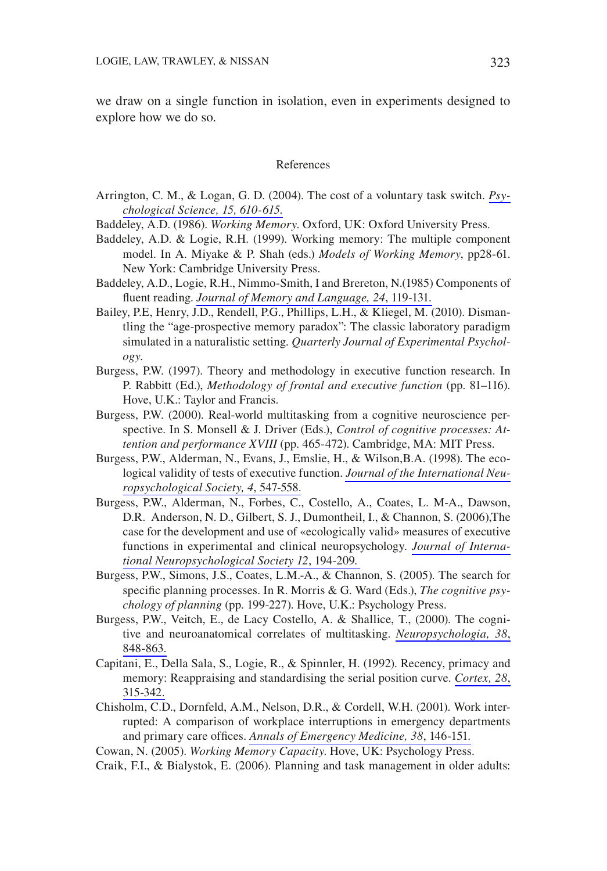we draw on a single function in isolation, even in experiments designed to explore how we do so.

#### References

- Arrington, C. M., & Logan, G. D. (2004). The cost of a voluntary task switch.  $Psv$ chological Science, 15, 610-615.
- Baddeley, A.D. (1986). Working Memory. Oxford, UK: Oxford University Press.
- Baddeley, A.D. & Logie, R.H. (1999). Working memory: The multiple component model. In A. Miyake & P. Shah (eds.) Models of Working Memory, pp28-61. New York: Cambridge University Press.
- Baddeley, A.D., Logie, R.H., Nimmo-Smith, I and Brereton, N.(1985) Components of fluent reading. Journal of Memory and Language, 24, 119-131.
- Bailey, P.E., Henry, J.D., Rendell, P.G., Phillips, L.H., & Kliegel, M. (2010). Dismantling the "age-prospective memory paradox": The classic laboratory paradigm simulated in a naturalistic setting. Quarterly Journal of Experimental Psychology.
- Burgess, P.W. (1997). Theory and methodology in executive function research. In P. Rabbitt (Ed.), Methodology of frontal and executive function (pp. 81–116). Hove, U.K.: Taylor and Francis.
- Burgess, P.W. (2000). Real-world multitasking from a cognitive neuroscience perspective. In S. Monsell & J. Driver (Eds.), Control of cognitive processes: Attention and performance XVIII (pp. 465-472). Cambridge, MA: MIT Press.
- Burgess, P.W., Alderman, N., Evans, J., Emslie, H., & Wilson, B.A. (1998). The ecological validity of tests of executive function. Journal of the International Neuropsychological Society, 4, 547-558.
- Burgess, P.W., Alderman, N., Forbes, C., Costello, A., Coates, L. M-A., Dawson, D.R. Anderson, N.D., Gilbert, S.J., Dumontheil, I., & Channon, S. (2006), The case for the development and use of «ecologically valid» measures of executive functions in experimental and clinical neuropsychology. Journal of International Neuropsychological Society 12, 194-209.
- Burgess, P.W., Simons, J.S., Coates, L.M.-A., & Channon, S. (2005). The search for specific planning processes. In R. Morris & G. Ward (Eds.), The cognitive psychology of planning (pp. 199-227). Hove, U.K.: Psychology Press.
- Burgess, P.W., Veitch, E., de Lacy Costello, A. & Shallice, T., (2000). The cognitive and neuroanatomical correlates of multitasking. Neuropsychologia, 38, 848-863.
- Capitani, E., Della Sala, S., Logie, R., & Spinnler, H. (1992). Recency, primacy and memory: Reappraising and standardising the serial position curve. Cortex, 28, 315-342.
- Chisholm, C.D., Dornfeld, A.M., Nelson, D.R., & Cordell, W.H. (2001). Work interrupted: A comparison of workplace interruptions in emergency departments and primary care offices. Annals of Emergency Medicine, 38, 146-151.

Cowan, N. (2005). Working Memory Capacity. Hove, UK: Psychology Press.

Craik, F.I., & Bialystok, E. (2006). Planning and task management in older adults: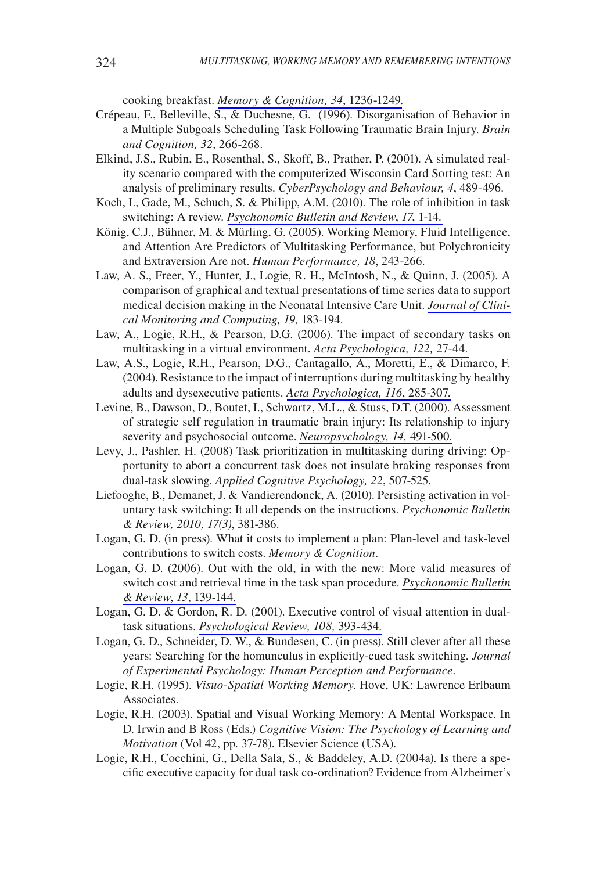cooking breakfast. Memory & Cognition, 34, 1236-1249.

- Crépeau, F., Belleville, S., & Duchesne, G. (1996). Disorganisation of Behavior in a Multiple Subgoals Scheduling Task Following Traumatic Brain Injury. Brain and Cognition, 32, 266-268.
- Elkind, J.S., Rubin, E., Rosenthal, S., Skoff, B., Prather, P. (2001). A simulated reality scenario compared with the computerized Wisconsin Card Sorting test: An analysis of preliminary results. CyberPsychology and Behaviour, 4, 489-496.
- Koch, I., Gade, M., Schuch, S. & Philipp, A.M. (2010). The role of inhibition in task switching: A review. Psychonomic Bulletin and Review, 17, 1-14.
- König, C.J., Bühner, M. & Mürling, G. (2005). Working Memory, Fluid Intelligence, and Attention Are Predictors of Multitasking Performance, but Polychronicity and Extraversion Are not. Human Performance, 18, 243-266.
- Law, A. S., Freer, Y., Hunter, J., Logie, R. H., McIntosh, N., & Quinn, J. (2005). A comparison of graphical and textual presentations of time series data to support medical decision making in the Neonatal Intensive Care Unit. Journal of Clinical Monitoring and Computing, 19, 183-194.
- Law, A., Logie, R.H., & Pearson, D.G. (2006). The impact of secondary tasks on multitasking in a virtual environment. Acta Psychologica, 122, 27-44.
- Law, A.S., Logie, R.H., Pearson, D.G., Cantagallo, A., Moretti, E., & Dimarco, F. (2004). Resistance to the impact of interruptions during multitasking by healthy adults and dysexecutive patients. Acta Psychologica, 116, 285-307.
- Levine, B., Dawson, D., Boutet, I., Schwartz, M.L., & Stuss, D.T. (2000). Assessment of strategic self regulation in traumatic brain injury: Its relationship to injury severity and psychosocial outcome. Neuropsychology, 14, 491-500.
- Levy, J., Pashler, H. (2008) Task prioritization in multitasking during driving: Opportunity to abort a concurrent task does not insulate braking responses from dual-task slowing. Applied Cognitive Psychology, 22, 507-525.
- Liefooghe, B., Demanet, J. & Vandierendonck, A. (2010). Persisting activation in voluntary task switching: It all depends on the instructions. Psychonomic Bulletin & Review, 2010, 17(3), 381-386.
- Logan, G. D. (in press). What it costs to implement a plan: Plan-level and task-level contributions to switch costs. Memory & Cognition.
- Logan, G. D. (2006). Out with the old, in with the new: More valid measures of switch cost and retrieval time in the task span procedure. *Psychonomic Bulletin* & Review, 13, 139-144.
- Logan, G. D. & Gordon, R. D. (2001). Executive control of visual attention in dualtask situations. Psychological Review, 108, 393-434.
- Logan, G. D., Schneider, D. W., & Bundesen, C. (in press). Still clever after all these years: Searching for the homunculus in explicitly-cued task switching. Journal of Experimental Psychology: Human Perception and Performance.
- Logie, R.H. (1995). Visuo-Spatial Working Memory. Hove, UK: Lawrence Erlbaum Associates.
- Logie, R.H. (2003). Spatial and Visual Working Memory: A Mental Workspace. In D. Irwin and B Ross (Eds.) Cognitive Vision: The Psychology of Learning and *Motivation* (Vol 42, pp. 37-78). Elsevier Science (USA).
- Logie, R.H., Cocchini, G., Della Sala, S., & Baddeley, A.D. (2004a). Is there a specific executive capacity for dual task co-ordination? Evidence from Alzheimer's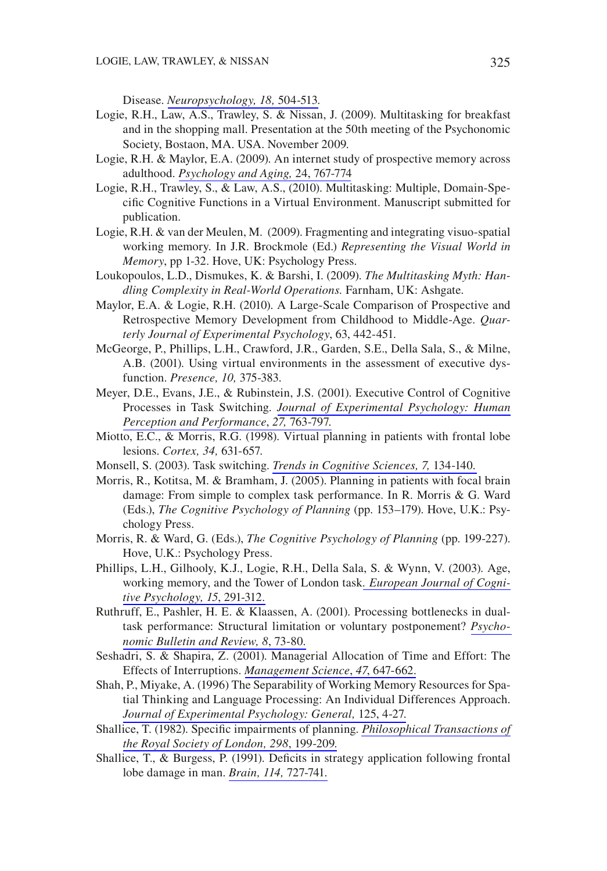Disease. Neuropsychology, 18, 504-513.

- Logie, R.H., Law, A.S., Trawley, S. & Nissan, J. (2009). Multitasking for breakfast and in the shopping mall. Presentation at the 50th meeting of the Psychonomic Society, Bostaon, MA. USA. November 2009.
- Logie, R.H. & Maylor, E.A. (2009). An internet study of prospective memory across adulthood. Psychology and Aging, 24, 767-774
- Logie, R.H., Trawley, S., & Law, A.S., (2010). Multitasking: Multiple, Domain-Specific Cognitive Functions in a Virtual Environment. Manuscript submitted for publication.
- Logie, R.H.  $\&$  van der Meulen, M. (2009). Fragmenting and integrating visuo-spatial working memory. In J.R. Brockmole (Ed.) Representing the Visual World in Memory, pp 1-32. Hove, UK: Psychology Press.
- Loukopoulos, L.D., Dismukes, K. & Barshi, I. (2009). The Multitasking Myth: Handling Complexity in Real-World Operations. Farnham, UK: Ashgate.
- Maylor, E.A. & Logie, R.H. (2010). A Large-Scale Comparison of Prospective and Retrospective Memory Development from Childhood to Middle-Age. Quarterly Journal of Experimental Psychology, 63, 442-451.
- McGeorge, P., Phillips, L.H., Crawford, J.R., Garden, S.E., Della Sala, S., & Milne, A.B. (2001). Using virtual environments in the assessment of executive dysfunction. Presence, 10, 375-383.
- Meyer, D.E., Evans, J.E., & Rubinstein, J.S. (2001). Executive Control of Cognitive Processes in Task Switching. Journal of Experimental Psychology: Human Perception and Performance, 27, 763-797.
- Miotto, E.C., & Morris, R.G. (1998). Virtual planning in patients with frontal lobe lesions. Cortex, 34, 631-657.
- Monsell, S. (2003). Task switching. Trends in Cognitive Sciences, 7, 134-140.
- Morris, R., Kotitsa, M. & Bramham, J. (2005). Planning in patients with focal brain damage: From simple to complex task performance. In R. Morris & G. Ward (Eds.), The Cognitive Psychology of Planning (pp. 153-179). Hove, U.K.: Psychology Press.
- Morris, R. & Ward, G. (Eds.), The Cognitive Psychology of Planning (pp. 199-227). Hove, U.K.: Psychology Press.
- Phillips, L.H., Gilhooly, K.J., Logie, R.H., Della Sala, S. & Wynn, V. (2003). Age, working memory, and the Tower of London task. European Journal of Cognitive Psychology, 15, 291-312.
- Ruthruff, E., Pashler, H. E. & Klaassen, A. (2001). Processing bottlenecks in dualtask performance: Structural limitation or voluntary postponement? Psychonomic Bulletin and Review, 8, 73-80.
- Seshadri, S. & Shapira, Z. (2001). Managerial Allocation of Time and Effort: The Effects of Interruptions. Management Science, 47, 647-662.
- Shah, P., Miyake, A. (1996) The Separability of Working Memory Resources for Spatial Thinking and Language Processing: An Individual Differences Approach. Journal of Experimental Psychology: General, 125, 4-27.
- Shallice, T. (1982). Specific impairments of planning. Philosophical Transactions of the Royal Society of London, 298, 199-209.
- Shallice, T., & Burgess, P. (1991). Deficits in strategy application following frontal lobe damage in man. Brain, 114, 727-741.